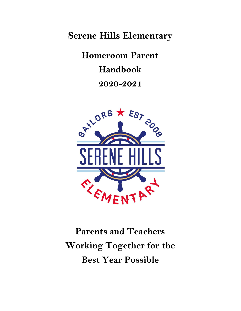**Serene Hills Elementary**

**Homeroom Parent Handbook 2020-2021**



**Parents and Teachers Working Together for the Best Year Possible**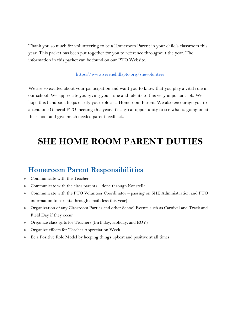Thank you so much for volunteering to be a Homeroom Parent in your child's classroom this year! This packet has been put together for you to reference throughout the year. The information in this packet can be found on our PTO Website.

#### <https://www.serenehillspto.org/shevolunteer>

We are so excited about your participation and want you to know that you play a vital role in our school. We appreciate you giving your time and talents to this very important job. We hope this handbook helps clarify your role as a Homeroom Parent. We also encourage you to attend one General PTO meeting this year. It's a great opportunity to see what is going on at the school and give much needed parent feedback.

# **SHE HOME ROOM PARENT DUTIES**

### **Homeroom Parent Responsibilities**

- Communicate with the Teacher
- Communicate with the class parents done through Konstella
- Communicate with the PTO Volunteer Coordinator passing on SHE Administration and PTO information to parents through email (less this year)
- Organization of any Classroom Parties and other School Events such as Carnival and Track and Field Day if they occur
- Organize class gifts for Teachers (Birthday, Holiday, and EOY)
- Organize efforts for Teacher Appreciation Week
- Be a Positive Role Model by keeping things upbeat and positive at all times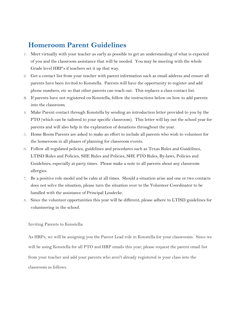## **Homeroom Parent Guidelines**

- 1. Meet virtually with your teacher as early as possible to get an understanding of what is expected of you and the classroom assistance that will be needed. You may be meeting with the whole Grade level HRP's if teachers set it up that way.
- 2. Get a contact list from your teacher with parent information such as email address and ensure all parents have been invited to Konstella. Parents will have the opportunity to register and add phone numbers, etc so that other parents can reach out. This replaces a class contact list.
- 3. If parents have not registered on Konstella, follow the instructions below on how to add parents into the classroom.
- 4. Make Parent contact through Konstella by sending an introduction letter provided to you by the PTO (which can be tailored to your specific classroom). This letter will lay out the school year for parents and will also help in the explanation of donations throughout the year.
- 5. Home Room Parents are asked to make an effort to include all parents who wish to volunteer for the homeroom in all phases of planning for classroom events.
- 6. Follow all regulated policies, guidelines and procedures such as Texas Rules and Guidelines, LTISD Rules and Policies, SHE Rules and Policies, SHE PTO Rules, By-laws, Policies and Guidelines, especially at party times. Please make a note to all parents about any classroom allergies.
- 7. Be a positive role model and be calm at all times. Should a situation arise and one or two contacts does not solve the situation, please turn the situation over to the Volunteer Coordinator to be handled with the assistance of Principal Leudecke.
- 8. Since the volunteer opportunities this year will be different, please adhere to LTISD guidelines for volunteering in the school.

Inviting Parents to Konstella:

As HRPs, we will be assigning you the Parent Lead role in Konstella for your classrooms. Since we will be using Konstella for all PTO and HRP emails this year, please request the parent email list from your teacher and add your parents who aren't already registered in your class into the classroom as follows.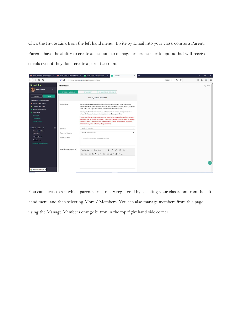Click the Invite Link from the left hand menu. Invite by Email into your classroom as a Parent. Parents have the ability to create an account to manage preferences or to opt out but will receive emails even if they don't create a parent account.



You can check to see which parents are already registered by selecting your classroom from the left hand menu and then selecting More / Members. You can also manage members from this page using the Manage Members orange button in the top right hand side corner.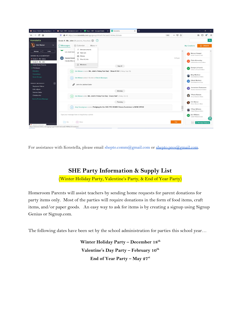| Inbox (14,020) - wameel@gma $\times$                                                                                                                                                         | $^{+}$<br>$\blacksquare$ Final - HRP - Invitation to edit - $\times$ $\blacksquare$ Final - HRP - Google Sheets $\times$<br>K Konstella<br>$\times$                                                                                                                                                       | Ð<br>$\times$                                                                                                                                                                                                                            |
|----------------------------------------------------------------------------------------------------------------------------------------------------------------------------------------------|-----------------------------------------------------------------------------------------------------------------------------------------------------------------------------------------------------------------------------------------------------------------------------------------------------------|------------------------------------------------------------------------------------------------------------------------------------------------------------------------------------------------------------------------------------------|
| $C$ $\hat{w}$                                                                                                                                                                                | 90%<br>1com/app/group/5f1b6f57b63ae8274f04b22f/chats                                                                                                                                                                                                                                                      | … ⊙☆<br><b>III</b>                                                                                                                                                                                                                       |
| Konstella                                                                                                                                                                                    | Grade $4 - Ms$ . John (18 parents, 1 teacher) $\{0\}$<br>(2)                                                                                                                                                                                                                                              | $\alpha$                                                                                                                                                                                                                                 |
| <b>Erin Warner</b><br>$\checkmark$                                                                                                                                                           | (iii) Calendar<br>O Messages<br>More $\vee$                                                                                                                                                                                                                                                               | $\oplus$ CREATE<br><b>My Creations</b>                                                                                                                                                                                                   |
| Manage V<br>Invite<br>SERENE HILLS ELEMENTARY<br>• Grade 2 - Ms. Sykes<br>Grade 4 - Ms. John<br>· Home Room Parents<br>· PTO Board<br>Directory<br><b>Committees</b><br><b>Social Groups</b> | Announcements<br>Lol. smart man<br>Sign-ups<br><b>同</b> Photos<br>Daniela Daniel<br><b>DD</b><br>Files & Links<br>Hahaha Marcus<br>$\Omega$ Members<br>Sep 21<br>Erin Warner created Ms. John's Friday Fun Day! - Show N Tell (Friday, Sep 25)<br>庙<br>Erin Warner added 1 file link to Files in Messages | $\land$<br>$\wedge$<br>Marcus Howard<br>MH<br>Austin Howard's Dad<br>7:25 pm<br>Claire Kinnersley<br>$\alpha$<br>Isabella Kinnersley's Mom<br>Katelyn LaFranchi<br>ĸL.<br>Cohen LaFranchi's Mom<br>Mary Martinez<br>Gavin Martinez's Mom |
| $_{\oplus}$<br><b>PRIVATE MESSAGES</b><br><b>Stephanie Palmer</b><br><b>Erik Lofgren</b>                                                                                                     | ĉ<br>John the Jubilant Sailor<br>Monday                                                                                                                                                                                                                                                                   | Gilbert Martinez<br>GM<br>Gavin Martinez's Dad<br>Jennavieve Rasmussen<br>$\left[ \begin{array}{cc} R \end{array} \right]$<br>Seamus Rasmussen's Mom                                                                                     |
| Sabrina Sattar<br><b>Christine Hul</b><br>Send a Private Message                                                                                                                             | Erin Warner edited Ms. John's Friday Fun Day - Crazy Hair! (Friday, Oct 2)                                                                                                                                                                                                                                | <b>Tiffanie Roberts</b><br>Tiffanie Roberto                                                                                                                                                                                              |
|                                                                                                                                                                                              | Tuesday                                                                                                                                                                                                                                                                                                   | Erin Warner<br>G.<br>Vivian Warner's Mom                                                                                                                                                                                                 |
|                                                                                                                                                                                              | Amy Hesselgrave created Pledging for the SHE PTO REMIX Fitness Fundraiser is NOW OPEN!<br>Type your message here or drag & drop a photo                                                                                                                                                                   | <b>Tiffany Williams</b><br>Ø.<br>$\checkmark$<br>Caleb Williams's Mom<br>Kurt Williams<br>KW<br>Caleb Williams's Dad                                                                                                                     |
| Colort Language<br>https://www.konstella.com/app/group/5f1b6f57b63ae8274f04b22f/members                                                                                                      | File<br>O Photo                                                                                                                                                                                                                                                                                           | Post<br>O Message Subgroup                                                                                                                                                                                                               |

For assistance with Konstella, please email shepto.comm@gmail.com or [shepto.pres@gmail.com](mailto:shepto.pres@gmail.com).

### **SHE Party Information & Supply List**

(Winter Holiday Party, Valentine's Party, & End of Year Party)

Homeroom Parents will assist teachers by sending home requests for parent donations for party items only. Most of the parties will require donations in the form of food items, craft items, and/or paper goods. An easy way to ask for items is by creating a signup using Signup Genius or Signup.com.

The following dates have been set by the school administration for parties this school year…

**Winter Holiday Party – December 18th Valentine's Day Party – February 10th End of Year Party – May 27st**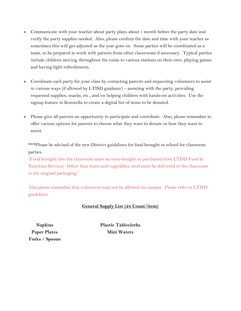- Communicate with your teacher about party plans about 1 month before the party date and verify the party supplies needed. Also, please confirm the date and time with your teacher as sometimes this will get adjusted as the year goes on. Some parties will be coordinated as a team, so be prepared to work with parents from other classrooms if necessary. Typical parties include children moving throughout the room to various stations on their own, playing games and having light refreshments.
- Coordinate each party for your class by contacting parents and requesting volunteers to assist in various ways (if allowed by LTISD guidance) – assisting with the party, providing requested supplies, snacks, etc., and/or helping children with hands-on activities. Use the signup feature in Konstella to create a digital list of items to be donated.
- Please give all parents an opportunity to participate and contribute. Also, please remember to offer various options for parents to choose what they want to donate or how they want to assist.

\*\*\*Please be advised of the new District guidelines for food brought to school for classroom parties.

"Food brought into the classroom must be store-bought or purchased from LTISD Food & Nutrition Services. Other than fruits and vegetables, food must be delivered to the classroom in the original packaging."

Also please remember that volunteers may not be allowed on campus. Please refer to LTISD guidelines.

#### **General Supply List (24 Count/item)**

**Napkins Paper Plates Forks / Spoons** **Plastic Tablecloths Mini Waters**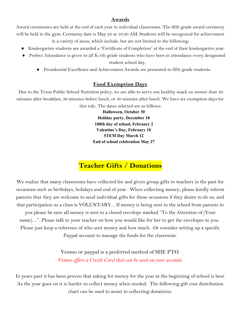#### **Awards**

Award ceremonies are held at the end of each year in individual classrooms. The fifth grade award ceremony will be held in the gym. Ceremony date is May 22 at 10:30 AM. Students will be recognized for achievement in a variety of areas, which include, but are not limited to the following:

- Kindergarten students are awarded a "Certificate of Completion" at the end of their kindergarten year.
- Perfect Attendance is given to all K-5th grade students who have been in attendance every designated student school day.
	- Presidential Excellence and Achievement Awards are presented to fifth grade students.

#### **Food Exemption Days**

 Due to the Texas Public School Nutrition policy, we are able to serve one healthy snack no sooner than 30 minutes after breakfast, 30 minutes before lunch, or 30 minutes after lunch. We have six exemption days for

this rule. The dates selected are as follows:

**Halloween, October 30 Holiday party, December 18 100th day of school, February 2 Valentine's Day, February 10 STEM Day March 12 End of school celebration May 27**

# **Teacher Gifts / Donations**

We realize that many classrooms have collected for and given group gifts to teachers in the past for occasions such as birthdays, holidays and end of year. When collecting money, please kindly inform parents that they are welcome to send individual gifts for these occasions if they desire to do so, and that participation as a class is VOLUNTARY…If money is being sent to the school from parents to

you please be sure all money is sent in a closed envelope marked "To the Attention of (Your name)…". Please talk to your teacher on how you would like for her to get the envelopes to you. Please just keep a reference of who sent money and how much. Or consider setting up a specific

Paypal account to manage the funds for the classroom.

Venmo or paypal is a preferred method of SHE PTO. *Venmo of ers a Credit Card that can be used on your account*.

In years past it has been proven that asking for money for the year at the beginning of school is best. As the year goes on it is harder to collect money when needed. The following gift cost distribution chart can be used to assist in collecting donations.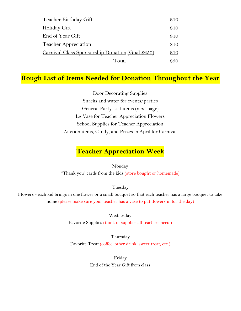| Teacher Birthday Gift                            | \$10 |
|--------------------------------------------------|------|
| Holiday Gift                                     | \$10 |
| End of Year Gift                                 |      |
| Teacher Appreciation                             |      |
| Carnival Class Sponsorship Donation (Goal \$250) |      |
| Total                                            | \$50 |

### **Rough List of Items Needed for Donation Throughout the Year**

Door Decorating Supplies Snacks and water for events/parties General Party List items (next page) Lg Vase for Teacher Appreciation Flowers School Supplies for Teacher Appreciation Auction items, Candy, and Prizes in April for Carnival

# **Teacher Appreciation Week**

Monday

"Thank you" cards from the kids (store bought or homemade)

Tuesday

Flowers - each kid brings in one flower or a small bouquet so that each teacher has a large bouquet to take home (please make sure your teacher has a vase to put flowers in for the day)

> Wednesday Favorite Supplies (think of supplies all teachers need!)

Thursday Favorite Treat (coffee, other drink, sweet treat, etc.)

> Friday End of the Year Gift from class